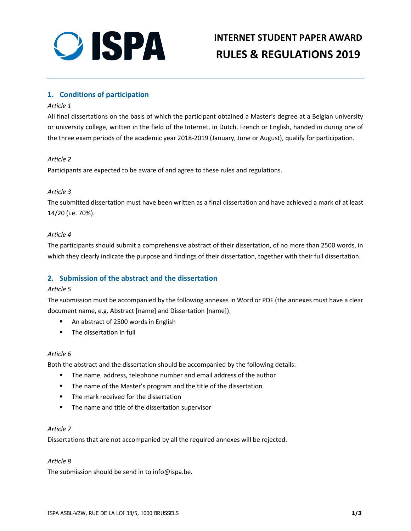

# **INTERNET STUDENT PAPER AWARD RULES & REGULATIONS 2019**

# **1. Conditions of participation**

#### *Article 1*

All final dissertations on the basis of which the participant obtained a Master's degree at a Belgian university or university college, written in the field of the Internet, in Dutch, French or English, handed in during one of the three exam periods of the academic year 2018-2019 (January, June or August), qualify for participation.

#### *Article 2*

Participants are expected to be aware of and agree to these rules and regulations.

#### *Article 3*

The submitted dissertation must have been written as a final dissertation and have achieved a mark of at least 14/20 (i.e. 70%).

#### *Article 4*

The participants should submit a comprehensive abstract of their dissertation, of no more than 2500 words, in which they clearly indicate the purpose and findings of their dissertation, together with their full dissertation.

# **2. Submission of the abstract and the dissertation**

#### *Article 5*

The submission must be accompanied by the following annexes in Word or PDF (the annexes must have a clear document name, e.g. Abstract [name] and Dissertation [name]).

- An abstract of 2500 words in English
- The dissertation in full

#### *Article 6*

Both the abstract and the dissertation should be accompanied by the following details:

- The name, address, telephone number and email address of the author
- The name of the Master's program and the title of the dissertation
- The mark received for the dissertation
- The name and title of the dissertation supervisor

#### *Article 7*

Dissertations that are not accompanied by all the required annexes will be rejected.

#### *Article 8*

The submission should be send in to info@ispa.be.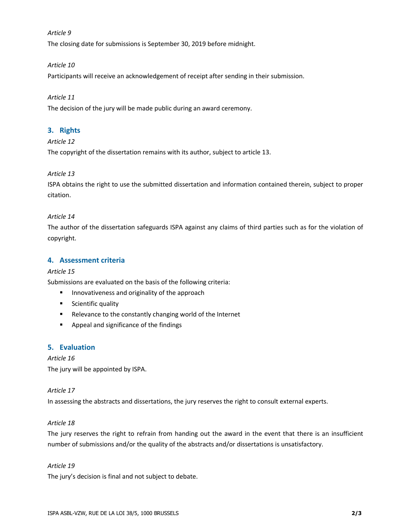#### *Article 9*

The closing date for submissions is September 30, 2019 before midnight.

#### *Article 10*

Participants will receive an acknowledgement of receipt after sending in their submission.

#### *Article 11*

The decision of the jury will be made public during an award ceremony.

### **3. Rights**

#### *Article 12*

The copyright of the dissertation remains with its author, subject to article 13.

#### *Article 13*

ISPA obtains the right to use the submitted dissertation and information contained therein, subject to proper citation.

#### *Article 14*

The author of the dissertation safeguards ISPA against any claims of third parties such as for the violation of copyright.

#### **4. Assessment criteria**

#### *Article 15*

Submissions are evaluated on the basis of the following criteria:

- Innovativeness and originality of the approach
- Scientific quality
- Relevance to the constantly changing world of the Internet
- Appeal and significance of the findings

#### **5. Evaluation**

# *Article 16* The jury will be appointed by ISPA.

#### *Article 17*

In assessing the abstracts and dissertations, the jury reserves the right to consult external experts.

#### *Article 18*

The jury reserves the right to refrain from handing out the award in the event that there is an insufficient number of submissions and/or the quality of the abstracts and/or dissertations is unsatisfactory.

#### *Article 19*

The jury's decision is final and not subject to debate.